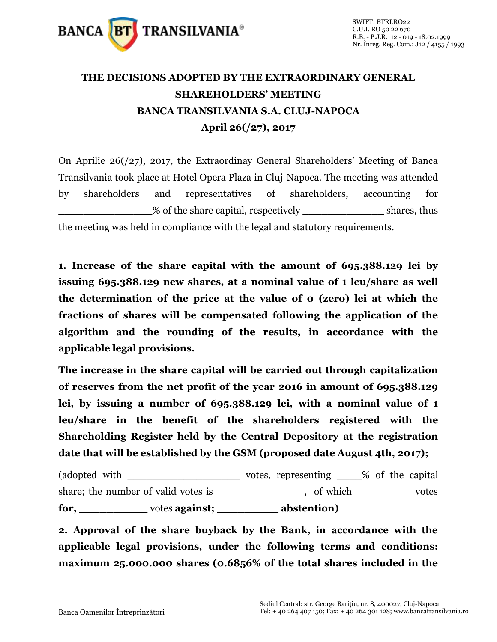

## **THE DECISIONS ADOPTED BY THE EXTRAORDINARY GENERAL SHAREHOLDERS' MEETING BANCA TRANSILVANIA S.A. CLUJ-NAPOCA April 26(/27), 2017**

On Aprilie 26(/27), 2017, the Extraordinay General Shareholders' Meeting of Banca Transilvania took place at Hotel Opera Plaza in Cluj-Napoca. The meeting was attended by shareholders and representatives of shareholders, accounting for % of the share capital, respectively shares, thus the meeting was held in compliance with the legal and statutory requirements.

**1. Increase of the share capital with the amount of 695.388.129 lei by issuing 695.388.129 new shares, at a nominal value of 1 leu/share as well the determination of the price at the value of 0 (zero) lei at which the fractions of shares will be compensated following the application of the algorithm and the rounding of the results, in accordance with the applicable legal provisions.** 

**The increase in the share capital will be carried out through capitalization of reserves from the net profit of the year 2016 in amount of 695.388.129 lei, by issuing a number of 695.388.129 lei, with a nominal value of 1 leu/share in the benefit of the shareholders registered with the Shareholding Register held by the Central Depository at the registration date that will be established by the GSM (proposed date August 4th, 2017);** 

(adopted with  $\qquad \qquad \qquad \qquad \text{ votes, representing } \qquad \qquad \%$  of the capital share; the number of valid votes is \_\_\_\_\_\_\_\_\_\_\_\_\_, of which \_\_\_\_\_\_\_\_\_ votes **for, \_\_\_\_\_\_\_\_\_\_** votes **against; \_\_\_\_\_\_\_\_\_ abstention)**

**2. Approval of the share buyback by the Bank, in accordance with the applicable legal provisions, under the following terms and conditions: maximum 25.000.000 shares (0.6856% of the total shares included in the**